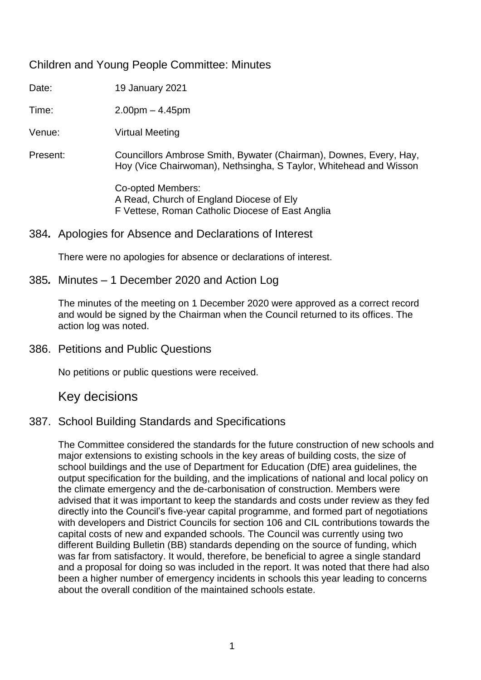# Children and Young People Committee: Minutes

Date: 19 January 2021

Time: 2.00pm – 4.45pm

Venue: Virtual Meeting

Present: Councillors Ambrose Smith, Bywater (Chairman), Downes, Every, Hay, Hoy (Vice Chairwoman), Nethsingha, S Taylor, Whitehead and Wisson

> Co-opted Members: A Read, Church of England Diocese of Ely F Vettese, Roman Catholic Diocese of East Anglia

## 384*.* Apologies for Absence and Declarations of Interest

There were no apologies for absence or declarations of interest.

## 385*.* Minutes – 1 December 2020 and Action Log

The minutes of the meeting on 1 December 2020 were approved as a correct record and would be signed by the Chairman when the Council returned to its offices. The action log was noted.

386. Petitions and Public Questions

No petitions or public questions were received.

Key decisions

# 387. School Building Standards and Specifications

The Committee considered the standards for the future construction of new schools and major extensions to existing schools in the key areas of building costs, the size of school buildings and the use of Department for Education (DfE) area guidelines, the output specification for the building, and the implications of national and local policy on the climate emergency and the de-carbonisation of construction. Members were advised that it was important to keep the standards and costs under review as they fed directly into the Council's five-year capital programme, and formed part of negotiations with developers and District Councils for section 106 and CIL contributions towards the capital costs of new and expanded schools. The Council was currently using two different Building Bulletin (BB) standards depending on the source of funding, which was far from satisfactory. It would, therefore, be beneficial to agree a single standard and a proposal for doing so was included in the report. It was noted that there had also been a higher number of emergency incidents in schools this year leading to concerns about the overall condition of the maintained schools estate.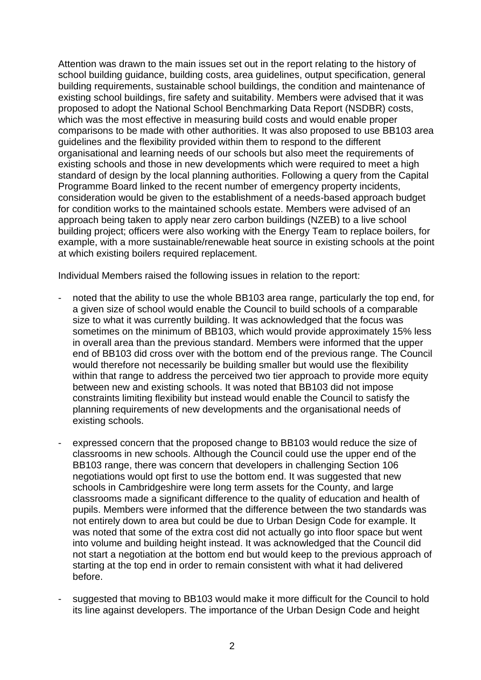Attention was drawn to the main issues set out in the report relating to the history of school building guidance, building costs, area guidelines, output specification, general building requirements, sustainable school buildings, the condition and maintenance of existing school buildings, fire safety and suitability. Members were advised that it was proposed to adopt the National School Benchmarking Data Report (NSDBR) costs, which was the most effective in measuring build costs and would enable proper comparisons to be made with other authorities. It was also proposed to use BB103 area guidelines and the flexibility provided within them to respond to the different organisational and learning needs of our schools but also meet the requirements of existing schools and those in new developments which were required to meet a high standard of design by the local planning authorities. Following a query from the Capital Programme Board linked to the recent number of emergency property incidents, consideration would be given to the establishment of a needs-based approach budget for condition works to the maintained schools estate. Members were advised of an approach being taken to apply near zero carbon buildings (NZEB) to a live school building project; officers were also working with the Energy Team to replace boilers, for example, with a more sustainable/renewable heat source in existing schools at the point at which existing boilers required replacement.

Individual Members raised the following issues in relation to the report:

- noted that the ability to use the whole BB103 area range, particularly the top end, for a given size of school would enable the Council to build schools of a comparable size to what it was currently building. It was acknowledged that the focus was sometimes on the minimum of BB103, which would provide approximately 15% less in overall area than the previous standard. Members were informed that the upper end of BB103 did cross over with the bottom end of the previous range. The Council would therefore not necessarily be building smaller but would use the flexibility within that range to address the perceived two tier approach to provide more equity between new and existing schools. It was noted that BB103 did not impose constraints limiting flexibility but instead would enable the Council to satisfy the planning requirements of new developments and the organisational needs of existing schools.
- expressed concern that the proposed change to BB103 would reduce the size of classrooms in new schools. Although the Council could use the upper end of the BB103 range, there was concern that developers in challenging Section 106 negotiations would opt first to use the bottom end. It was suggested that new schools in Cambridgeshire were long term assets for the County, and large classrooms made a significant difference to the quality of education and health of pupils. Members were informed that the difference between the two standards was not entirely down to area but could be due to Urban Design Code for example. It was noted that some of the extra cost did not actually go into floor space but went into volume and building height instead. It was acknowledged that the Council did not start a negotiation at the bottom end but would keep to the previous approach of starting at the top end in order to remain consistent with what it had delivered before.
- suggested that moving to BB103 would make it more difficult for the Council to hold its line against developers. The importance of the Urban Design Code and height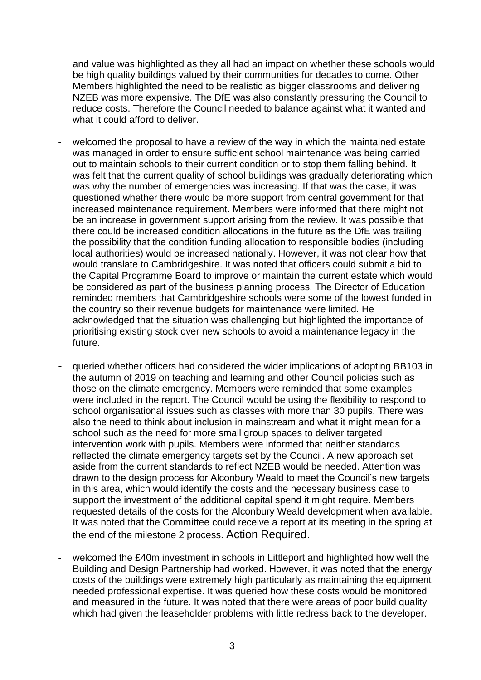and value was highlighted as they all had an impact on whether these schools would be high quality buildings valued by their communities for decades to come. Other Members highlighted the need to be realistic as bigger classrooms and delivering NZEB was more expensive. The DfE was also constantly pressuring the Council to reduce costs. Therefore the Council needed to balance against what it wanted and what it could afford to deliver.

- welcomed the proposal to have a review of the way in which the maintained estate was managed in order to ensure sufficient school maintenance was being carried out to maintain schools to their current condition or to stop them falling behind. It was felt that the current quality of school buildings was gradually deteriorating which was why the number of emergencies was increasing. If that was the case, it was questioned whether there would be more support from central government for that increased maintenance requirement. Members were informed that there might not be an increase in government support arising from the review. It was possible that there could be increased condition allocations in the future as the DfE was trailing the possibility that the condition funding allocation to responsible bodies (including local authorities) would be increased nationally. However, it was not clear how that would translate to Cambridgeshire. It was noted that officers could submit a bid to the Capital Programme Board to improve or maintain the current estate which would be considered as part of the business planning process. The Director of Education reminded members that Cambridgeshire schools were some of the lowest funded in the country so their revenue budgets for maintenance were limited. He acknowledged that the situation was challenging but highlighted the importance of prioritising existing stock over new schools to avoid a maintenance legacy in the future.
- queried whether officers had considered the wider implications of adopting BB103 in the autumn of 2019 on teaching and learning and other Council policies such as those on the climate emergency. Members were reminded that some examples were included in the report. The Council would be using the flexibility to respond to school organisational issues such as classes with more than 30 pupils. There was also the need to think about inclusion in mainstream and what it might mean for a school such as the need for more small group spaces to deliver targeted intervention work with pupils. Members were informed that neither standards reflected the climate emergency targets set by the Council. A new approach set aside from the current standards to reflect NZEB would be needed. Attention was drawn to the design process for Alconbury Weald to meet the Council's new targets in this area, which would identify the costs and the necessary business case to support the investment of the additional capital spend it might require. Members requested details of the costs for the Alconbury Weald development when available. It was noted that the Committee could receive a report at its meeting in the spring at the end of the milestone 2 process. Action Required.
- welcomed the £40m investment in schools in Littleport and highlighted how well the Building and Design Partnership had worked. However, it was noted that the energy costs of the buildings were extremely high particularly as maintaining the equipment needed professional expertise. It was queried how these costs would be monitored and measured in the future. It was noted that there were areas of poor build quality which had given the leaseholder problems with little redress back to the developer.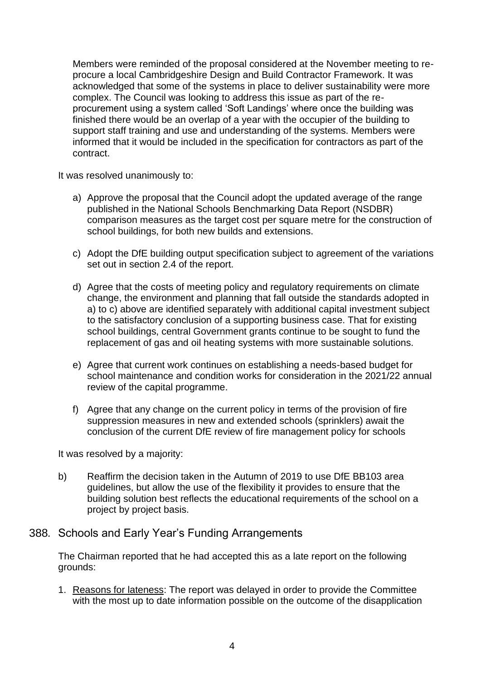Members were reminded of the proposal considered at the November meeting to reprocure a local Cambridgeshire Design and Build Contractor Framework. It was acknowledged that some of the systems in place to deliver sustainability were more complex. The Council was looking to address this issue as part of the reprocurement using a system called 'Soft Landings' where once the building was finished there would be an overlap of a year with the occupier of the building to support staff training and use and understanding of the systems. Members were informed that it would be included in the specification for contractors as part of the contract.

It was resolved unanimously to:

- a) Approve the proposal that the Council adopt the updated average of the range published in the National Schools Benchmarking Data Report (NSDBR) comparison measures as the target cost per square metre for the construction of school buildings, for both new builds and extensions.
- c) Adopt the DfE building output specification subject to agreement of the variations set out in section 2.4 of the report.
- d) Agree that the costs of meeting policy and regulatory requirements on climate change, the environment and planning that fall outside the standards adopted in a) to c) above are identified separately with additional capital investment subject to the satisfactory conclusion of a supporting business case. That for existing school buildings, central Government grants continue to be sought to fund the replacement of gas and oil heating systems with more sustainable solutions.
- e) Agree that current work continues on establishing a needs-based budget for school maintenance and condition works for consideration in the 2021/22 annual review of the capital programme.
- f) Agree that any change on the current policy in terms of the provision of fire suppression measures in new and extended schools (sprinklers) await the conclusion of the current DfE review of fire management policy for schools

It was resolved by a majority:

b) Reaffirm the decision taken in the Autumn of 2019 to use DfE BB103 area guidelines, but allow the use of the flexibility it provides to ensure that the building solution best reflects the educational requirements of the school on a project by project basis.

#### 388*.* Schools and Early Year's Funding Arrangements

The Chairman reported that he had accepted this as a late report on the following grounds:

1. Reasons for lateness: The report was delayed in order to provide the Committee with the most up to date information possible on the outcome of the disapplication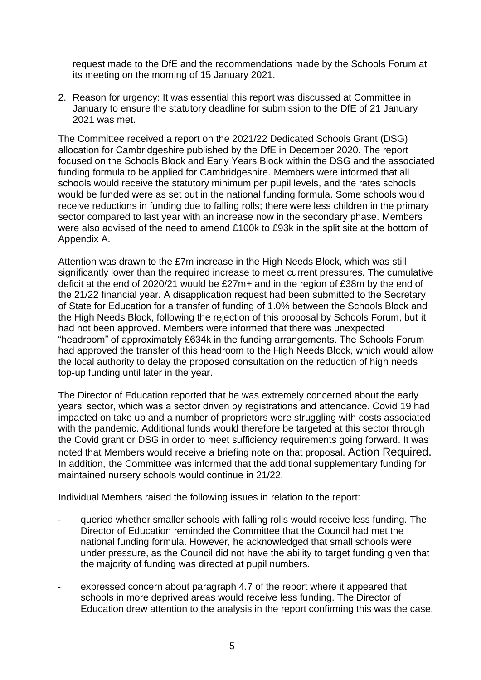request made to the DfE and the recommendations made by the Schools Forum at its meeting on the morning of 15 January 2021.

2. Reason for urgency: It was essential this report was discussed at Committee in January to ensure the statutory deadline for submission to the DfE of 21 January 2021 was met.

The Committee received a report on the 2021/22 Dedicated Schools Grant (DSG) allocation for Cambridgeshire published by the DfE in December 2020. The report focused on the Schools Block and Early Years Block within the DSG and the associated funding formula to be applied for Cambridgeshire. Members were informed that all schools would receive the statutory minimum per pupil levels, and the rates schools would be funded were as set out in the national funding formula. Some schools would receive reductions in funding due to falling rolls; there were less children in the primary sector compared to last year with an increase now in the secondary phase. Members were also advised of the need to amend £100k to £93k in the split site at the bottom of Appendix A.

Attention was drawn to the £7m increase in the High Needs Block, which was still significantly lower than the required increase to meet current pressures. The cumulative deficit at the end of 2020/21 would be £27m+ and in the region of £38m by the end of the 21/22 financial year. A disapplication request had been submitted to the Secretary of State for Education for a transfer of funding of 1.0% between the Schools Block and the High Needs Block, following the rejection of this proposal by Schools Forum, but it had not been approved. Members were informed that there was unexpected "headroom" of approximately £634k in the funding arrangements. The Schools Forum had approved the transfer of this headroom to the High Needs Block, which would allow the local authority to delay the proposed consultation on the reduction of high needs top-up funding until later in the year.

The Director of Education reported that he was extremely concerned about the early years' sector, which was a sector driven by registrations and attendance. Covid 19 had impacted on take up and a number of proprietors were struggling with costs associated with the pandemic. Additional funds would therefore be targeted at this sector through the Covid grant or DSG in order to meet sufficiency requirements going forward. It was noted that Members would receive a briefing note on that proposal. Action Required. In addition, the Committee was informed that the additional supplementary funding for maintained nursery schools would continue in 21/22.

Individual Members raised the following issues in relation to the report:

- queried whether smaller schools with falling rolls would receive less funding. The Director of Education reminded the Committee that the Council had met the national funding formula. However, he acknowledged that small schools were under pressure, as the Council did not have the ability to target funding given that the majority of funding was directed at pupil numbers.
- expressed concern about paragraph 4.7 of the report where it appeared that schools in more deprived areas would receive less funding. The Director of Education drew attention to the analysis in the report confirming this was the case.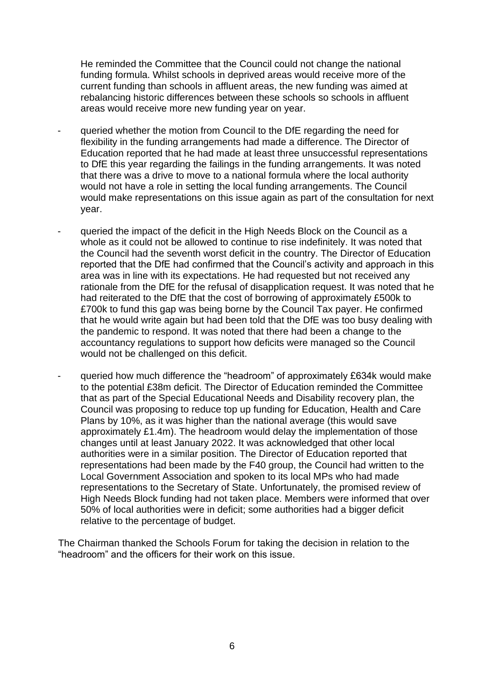He reminded the Committee that the Council could not change the national funding formula. Whilst schools in deprived areas would receive more of the current funding than schools in affluent areas, the new funding was aimed at rebalancing historic differences between these schools so schools in affluent areas would receive more new funding year on year.

- queried whether the motion from Council to the DfE regarding the need for flexibility in the funding arrangements had made a difference. The Director of Education reported that he had made at least three unsuccessful representations to DfE this year regarding the failings in the funding arrangements. It was noted that there was a drive to move to a national formula where the local authority would not have a role in setting the local funding arrangements. The Council would make representations on this issue again as part of the consultation for next year.
- queried the impact of the deficit in the High Needs Block on the Council as a whole as it could not be allowed to continue to rise indefinitely. It was noted that the Council had the seventh worst deficit in the country. The Director of Education reported that the DfE had confirmed that the Council's activity and approach in this area was in line with its expectations. He had requested but not received any rationale from the DfE for the refusal of disapplication request. It was noted that he had reiterated to the DfE that the cost of borrowing of approximately £500k to £700k to fund this gap was being borne by the Council Tax payer. He confirmed that he would write again but had been told that the DfE was too busy dealing with the pandemic to respond. It was noted that there had been a change to the accountancy regulations to support how deficits were managed so the Council would not be challenged on this deficit.
- queried how much difference the "headroom" of approximately £634k would make to the potential £38m deficit. The Director of Education reminded the Committee that as part of the Special Educational Needs and Disability recovery plan, the Council was proposing to reduce top up funding for Education, Health and Care Plans by 10%, as it was higher than the national average (this would save approximately £1.4m). The headroom would delay the implementation of those changes until at least January 2022. It was acknowledged that other local authorities were in a similar position. The Director of Education reported that representations had been made by the F40 group, the Council had written to the Local Government Association and spoken to its local MPs who had made representations to the Secretary of State. Unfortunately, the promised review of High Needs Block funding had not taken place. Members were informed that over 50% of local authorities were in deficit; some authorities had a bigger deficit relative to the percentage of budget.

The Chairman thanked the Schools Forum for taking the decision in relation to the "headroom" and the officers for their work on this issue.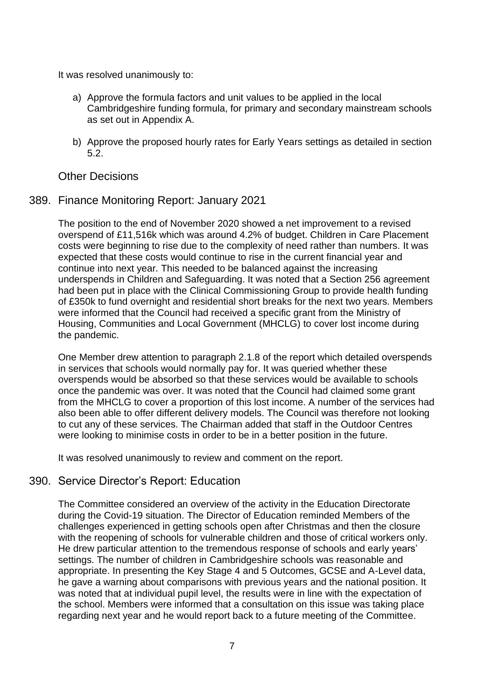It was resolved unanimously to:

- a) Approve the formula factors and unit values to be applied in the local Cambridgeshire funding formula, for primary and secondary mainstream schools as set out in Appendix A.
- b) Approve the proposed hourly rates for Early Years settings as detailed in section 5.2.

Other Decisions

389. Finance Monitoring Report: January 2021

The position to the end of November 2020 showed a net improvement to a revised overspend of £11,516k which was around 4.2% of budget. Children in Care Placement costs were beginning to rise due to the complexity of need rather than numbers. It was expected that these costs would continue to rise in the current financial year and continue into next year. This needed to be balanced against the increasing underspends in Children and Safeguarding. It was noted that a Section 256 agreement had been put in place with the Clinical Commissioning Group to provide health funding of £350k to fund overnight and residential short breaks for the next two years. Members were informed that the Council had received a specific grant from the Ministry of Housing, Communities and Local Government (MHCLG) to cover lost income during the pandemic.

One Member drew attention to paragraph 2.1.8 of the report which detailed overspends in services that schools would normally pay for. It was queried whether these overspends would be absorbed so that these services would be available to schools once the pandemic was over. It was noted that the Council had claimed some grant from the MHCLG to cover a proportion of this lost income. A number of the services had also been able to offer different delivery models. The Council was therefore not looking to cut any of these services. The Chairman added that staff in the Outdoor Centres were looking to minimise costs in order to be in a better position in the future.

It was resolved unanimously to review and comment on the report.

#### 390. Service Director's Report: Education

The Committee considered an overview of the activity in the Education Directorate during the Covid-19 situation. The Director of Education reminded Members of the challenges experienced in getting schools open after Christmas and then the closure with the reopening of schools for vulnerable children and those of critical workers only. He drew particular attention to the tremendous response of schools and early years' settings. The number of children in Cambridgeshire schools was reasonable and appropriate. In presenting the Key Stage 4 and 5 Outcomes, GCSE and A-Level data, he gave a warning about comparisons with previous years and the national position. It was noted that at individual pupil level, the results were in line with the expectation of the school. Members were informed that a consultation on this issue was taking place regarding next year and he would report back to a future meeting of the Committee.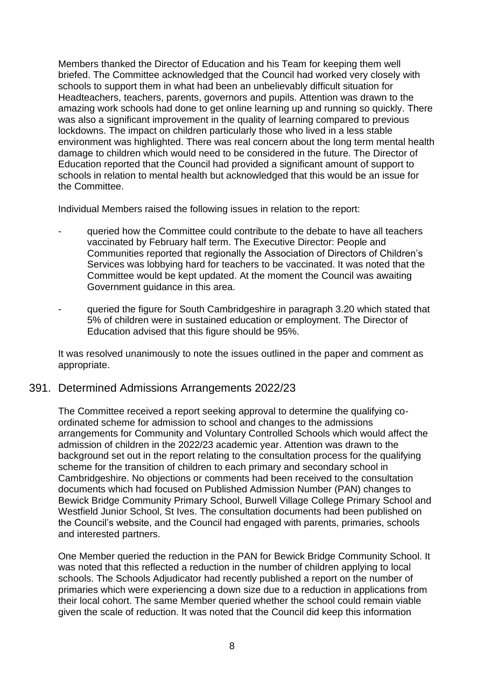Members thanked the Director of Education and his Team for keeping them well briefed. The Committee acknowledged that the Council had worked very closely with schools to support them in what had been an unbelievably difficult situation for Headteachers, teachers, parents, governors and pupils. Attention was drawn to the amazing work schools had done to get online learning up and running so quickly. There was also a significant improvement in the quality of learning compared to previous lockdowns. The impact on children particularly those who lived in a less stable environment was highlighted. There was real concern about the long term mental health damage to children which would need to be considered in the future. The Director of Education reported that the Council had provided a significant amount of support to schools in relation to mental health but acknowledged that this would be an issue for the Committee.

Individual Members raised the following issues in relation to the report:

- queried how the Committee could contribute to the debate to have all teachers vaccinated by February half term. The Executive Director: People and Communities reported that regionally the Association of Directors of Children's Services was lobbying hard for teachers to be vaccinated. It was noted that the Committee would be kept updated. At the moment the Council was awaiting Government guidance in this area.
- queried the figure for South Cambridgeshire in paragraph 3.20 which stated that 5% of children were in sustained education or employment. The Director of Education advised that this figure should be 95%.

It was resolved unanimously to note the issues outlined in the paper and comment as appropriate.

#### 391. Determined Admissions Arrangements 2022/23

The Committee received a report seeking approval to determine the qualifying coordinated scheme for admission to school and changes to the admissions arrangements for Community and Voluntary Controlled Schools which would affect the admission of children in the 2022/23 academic year. Attention was drawn to the background set out in the report relating to the consultation process for the qualifying scheme for the transition of children to each primary and secondary school in Cambridgeshire. No objections or comments had been received to the consultation documents which had focused on Published Admission Number (PAN) changes to Bewick Bridge Community Primary School, Burwell Village College Primary School and Westfield Junior School, St Ives. The consultation documents had been published on the Council's website, and the Council had engaged with parents, primaries, schools and interested partners.

One Member queried the reduction in the PAN for Bewick Bridge Community School. It was noted that this reflected a reduction in the number of children applying to local schools. The Schools Adjudicator had recently published a report on the number of primaries which were experiencing a down size due to a reduction in applications from their local cohort. The same Member queried whether the school could remain viable given the scale of reduction. It was noted that the Council did keep this information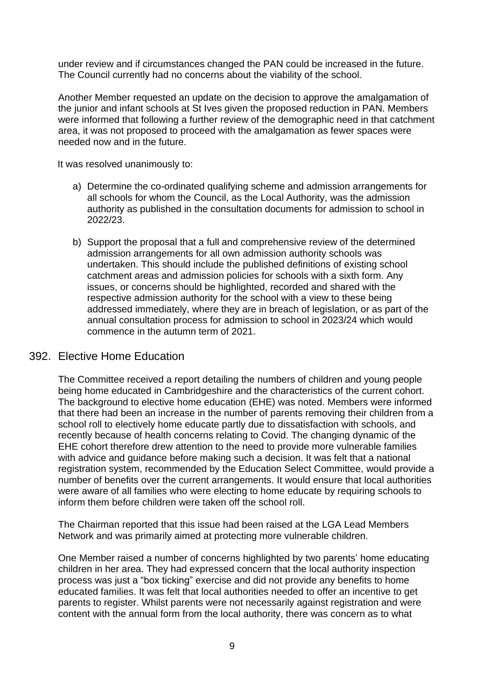under review and if circumstances changed the PAN could be increased in the future. The Council currently had no concerns about the viability of the school.

Another Member requested an update on the decision to approve the amalgamation of the junior and infant schools at St Ives given the proposed reduction in PAN. Members were informed that following a further review of the demographic need in that catchment area, it was not proposed to proceed with the amalgamation as fewer spaces were needed now and in the future.

It was resolved unanimously to:

- a) Determine the co-ordinated qualifying scheme and admission arrangements for all schools for whom the Council, as the Local Authority, was the admission authority as published in the consultation documents for admission to school in 2022/23.
- b) Support the proposal that a full and comprehensive review of the determined admission arrangements for all own admission authority schools was undertaken. This should include the published definitions of existing school catchment areas and admission policies for schools with a sixth form. Any issues, or concerns should be highlighted, recorded and shared with the respective admission authority for the school with a view to these being addressed immediately, where they are in breach of legislation, or as part of the annual consultation process for admission to school in 2023/24 which would commence in the autumn term of 2021.

#### 392. Elective Home Education

The Committee received a report detailing the numbers of children and young people being home educated in Cambridgeshire and the characteristics of the current cohort. The background to elective home education (EHE) was noted. Members were informed that there had been an increase in the number of parents removing their children from a school roll to electively home educate partly due to dissatisfaction with schools, and recently because of health concerns relating to Covid. The changing dynamic of the EHE cohort therefore drew attention to the need to provide more vulnerable families with advice and guidance before making such a decision. It was felt that a national registration system, recommended by the Education Select Committee, would provide a number of benefits over the current arrangements. It would ensure that local authorities were aware of all families who were electing to home educate by requiring schools to inform them before children were taken off the school roll.

The Chairman reported that this issue had been raised at the LGA Lead Members Network and was primarily aimed at protecting more vulnerable children.

One Member raised a number of concerns highlighted by two parents' home educating children in her area. They had expressed concern that the local authority inspection process was just a "box ticking" exercise and did not provide any benefits to home educated families. It was felt that local authorities needed to offer an incentive to get parents to register. Whilst parents were not necessarily against registration and were content with the annual form from the local authority, there was concern as to what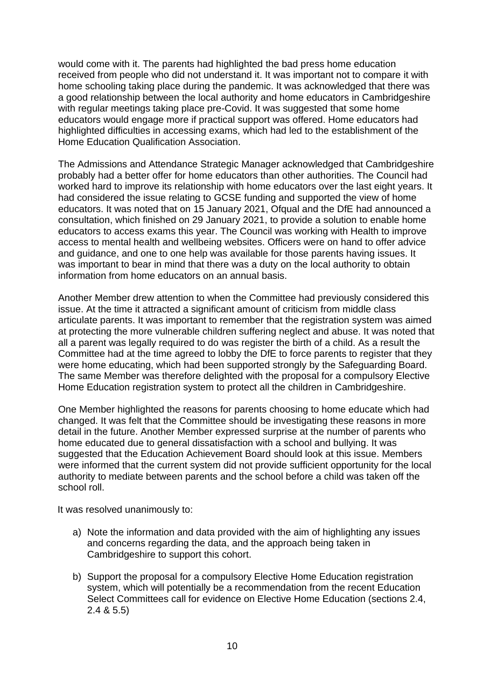would come with it. The parents had highlighted the bad press home education received from people who did not understand it. It was important not to compare it with home schooling taking place during the pandemic. It was acknowledged that there was a good relationship between the local authority and home educators in Cambridgeshire with regular meetings taking place pre-Covid. It was suggested that some home educators would engage more if practical support was offered. Home educators had highlighted difficulties in accessing exams, which had led to the establishment of the Home Education Qualification Association.

The Admissions and Attendance Strategic Manager acknowledged that Cambridgeshire probably had a better offer for home educators than other authorities. The Council had worked hard to improve its relationship with home educators over the last eight years. It had considered the issue relating to GCSE funding and supported the view of home educators. It was noted that on 15 January 2021, Ofqual and the DfE had announced a consultation, which finished on 29 January 2021, to provide a solution to enable home educators to access exams this year. The Council was working with Health to improve access to mental health and wellbeing websites. Officers were on hand to offer advice and guidance, and one to one help was available for those parents having issues. It was important to bear in mind that there was a duty on the local authority to obtain information from home educators on an annual basis.

Another Member drew attention to when the Committee had previously considered this issue. At the time it attracted a significant amount of criticism from middle class articulate parents. It was important to remember that the registration system was aimed at protecting the more vulnerable children suffering neglect and abuse. It was noted that all a parent was legally required to do was register the birth of a child. As a result the Committee had at the time agreed to lobby the DfE to force parents to register that they were home educating, which had been supported strongly by the Safeguarding Board. The same Member was therefore delighted with the proposal for a compulsory Elective Home Education registration system to protect all the children in Cambridgeshire.

One Member highlighted the reasons for parents choosing to home educate which had changed. It was felt that the Committee should be investigating these reasons in more detail in the future. Another Member expressed surprise at the number of parents who home educated due to general dissatisfaction with a school and bullying. It was suggested that the Education Achievement Board should look at this issue. Members were informed that the current system did not provide sufficient opportunity for the local authority to mediate between parents and the school before a child was taken off the school roll.

It was resolved unanimously to:

- a) Note the information and data provided with the aim of highlighting any issues and concerns regarding the data, and the approach being taken in Cambridgeshire to support this cohort.
- b) Support the proposal for a compulsory Elective Home Education registration system, which will potentially be a recommendation from the recent Education Select Committees call for evidence on Elective Home Education (sections 2.4, 2.4 & 5.5)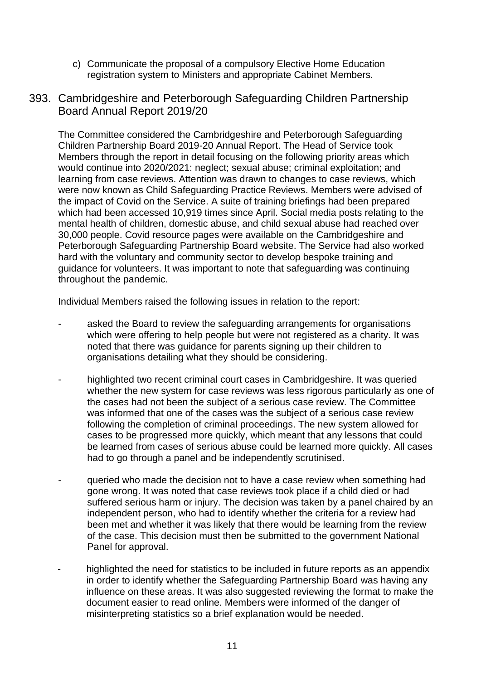- c) Communicate the proposal of a compulsory Elective Home Education registration system to Ministers and appropriate Cabinet Members.
- 393. Cambridgeshire and Peterborough Safeguarding Children Partnership Board Annual Report 2019/20

The Committee considered the Cambridgeshire and Peterborough Safeguarding Children Partnership Board 2019-20 Annual Report. The Head of Service took Members through the report in detail focusing on the following priority areas which would continue into 2020/2021: neglect; sexual abuse; criminal exploitation; and learning from case reviews. Attention was drawn to changes to case reviews, which were now known as Child Safeguarding Practice Reviews. Members were advised of the impact of Covid on the Service. A suite of training briefings had been prepared which had been accessed 10,919 times since April. Social media posts relating to the mental health of children, domestic abuse, and child sexual abuse had reached over 30,000 people. Covid resource pages were available on the Cambridgeshire and Peterborough Safeguarding Partnership Board website. The Service had also worked hard with the voluntary and community sector to develop bespoke training and guidance for volunteers. It was important to note that safeguarding was continuing throughout the pandemic.

Individual Members raised the following issues in relation to the report:

- asked the Board to review the safeguarding arrangements for organisations which were offering to help people but were not registered as a charity. It was noted that there was guidance for parents signing up their children to organisations detailing what they should be considering.
- highlighted two recent criminal court cases in Cambridgeshire. It was queried whether the new system for case reviews was less rigorous particularly as one of the cases had not been the subject of a serious case review. The Committee was informed that one of the cases was the subject of a serious case review following the completion of criminal proceedings. The new system allowed for cases to be progressed more quickly, which meant that any lessons that could be learned from cases of serious abuse could be learned more quickly. All cases had to go through a panel and be independently scrutinised.
- queried who made the decision not to have a case review when something had gone wrong. It was noted that case reviews took place if a child died or had suffered serious harm or injury. The decision was taken by a panel chaired by an independent person, who had to identify whether the criteria for a review had been met and whether it was likely that there would be learning from the review of the case. This decision must then be submitted to the government National Panel for approval.
- highlighted the need for statistics to be included in future reports as an appendix in order to identify whether the Safeguarding Partnership Board was having any influence on these areas. It was also suggested reviewing the format to make the document easier to read online. Members were informed of the danger of misinterpreting statistics so a brief explanation would be needed.